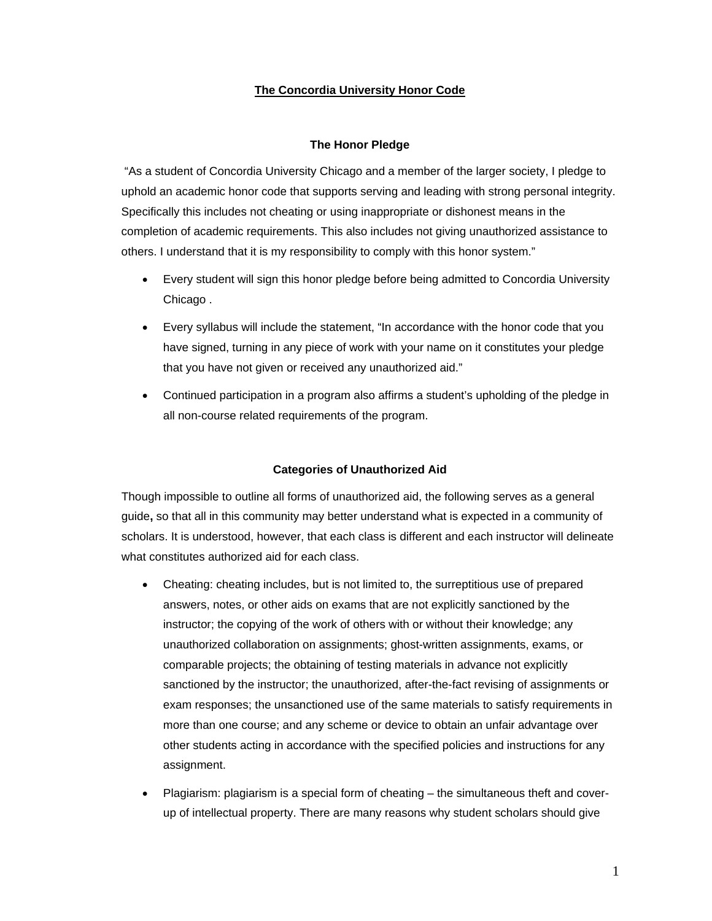# **The Concordia University Honor Code**

# **The Honor Pledge**

 "As a student of Concordia University Chicago and a member of the larger society, I pledge to uphold an academic honor code that supports serving and leading with strong personal integrity. Specifically this includes not cheating or using inappropriate or dishonest means in the completion of academic requirements. This also includes not giving unauthorized assistance to others. I understand that it is my responsibility to comply with this honor system."

- Every student will sign this honor pledge before being admitted to Concordia University Chicago .
- Every syllabus will include the statement, "In accordance with the honor code that you have signed, turning in any piece of work with your name on it constitutes your pledge that you have not given or received any unauthorized aid."
- Continued participation in a program also affirms a student's upholding of the pledge in all non-course related requirements of the program.

# **Categories of Unauthorized Aid**

 Though impossible to outline all forms of unauthorized aid, the following serves as a general guide**,** so that all in this community may better understand what is expected in a community of scholars. It is understood, however, that each class is different and each instructor will delineate what constitutes authorized aid for each class.

- Cheating: cheating includes, but is not limited to, the surreptitious use of prepared answers, notes, or other aids on exams that are not explicitly sanctioned by the instructor; the copying of the work of others with or without their knowledge; any unauthorized collaboration on assignments; ghost-written assignments, exams, or comparable projects; the obtaining of testing materials in advance not explicitly sanctioned by the instructor; the unauthorized, after-the-fact revising of assignments or exam responses; the unsanctioned use of the same materials to satisfy requirements in more than one course; and any scheme or device to obtain an unfair advantage over other students acting in accordance with the specified policies and instructions for any assignment.
- Plagiarism: plagiarism is a special form of cheating the simultaneous theft and coverup of intellectual property. There are many reasons why student scholars should give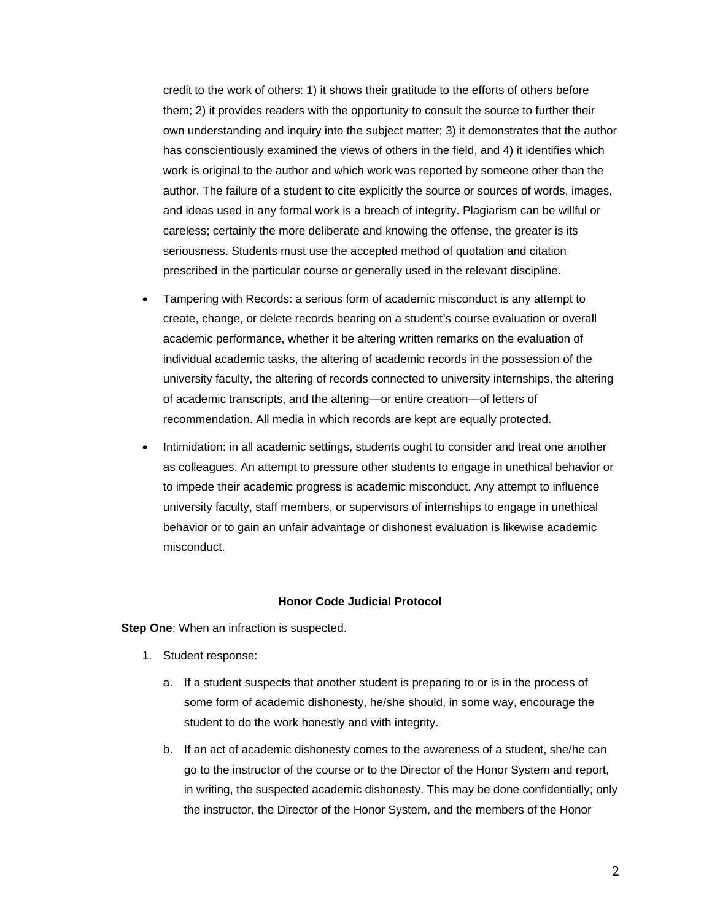credit to the work of others: 1) it shows their gratitude to the efforts of others before them; 2) it provides readers with the opportunity to consult the source to further their own understanding and inquiry into the subject matter; 3) it demonstrates that the author has conscientiously examined the views of others in the field, and 4) it identifies which work is original to the author and which work was reported by someone other than the author. The failure of a student to cite explicitly the source or sources of words, images, and ideas used in any formal work is a breach of integrity. Plagiarism can be willful or careless; certainly the more deliberate and knowing the offense, the greater is its seriousness. Students must use the accepted method of quotation and citation prescribed in the particular course or generally used in the relevant discipline.

- Tampering with Records: a serious form of academic misconduct is any attempt to create, change, or delete records bearing on a student's course evaluation or overall academic performance, whether it be altering written remarks on the evaluation of individual academic tasks, the altering of academic records in the possession of the university faculty, the altering of records connected to university internships, the altering of academic transcripts, and the altering—or entire creation—of letters of recommendation. All media in which records are kept are equally protected.
- Intimidation: in all academic settings, students ought to consider and treat one another as colleagues. An attempt to pressure other students to engage in unethical behavior or to impede their academic progress is academic misconduct. Any attempt to influence university faculty, staff members, or supervisors of internships to engage in unethical behavior or to gain an unfair advantage or dishonest evaluation is likewise academic misconduct.

# **Honor Code Judicial Protocol**

**Step One:** When an infraction is suspected.

- 1. Student response:
	- a. If a student suspects that another student is preparing to or is in the process of some form of academic dishonesty, he/she should, in some way, encourage the student to do the work honestly and with integrity.
	- b. If an act of academic dishonesty comes to the awareness of a student, she/he can go to the instructor of the course or to the Director of the Honor System and report, in writing, the suspected academic dishonesty. This may be done confidentially; only the instructor, the Director of the Honor System, and the members of the Honor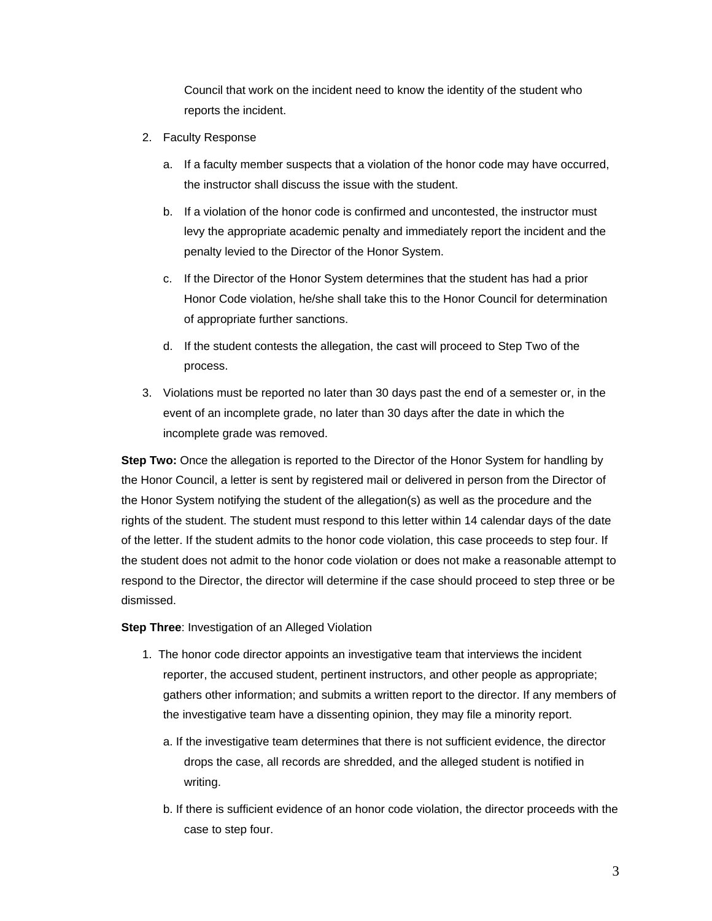Council that work on the incident need to know the identity of the student who reports the incident.

- 2. Faculty Response
	- a. If a faculty member suspects that a violation of the honor code may have occurred, the instructor shall discuss the issue with the student.
	- b. If a violation of the honor code is confirmed and uncontested, the instructor must levy the appropriate academic penalty and immediately report the incident and the penalty levied to the Director of the Honor System.
	- c. If the Director of the Honor System determines that the student has had a prior Honor Code violation, he/she shall take this to the Honor Council for determination of appropriate further sanctions.
	- d. If the student contests the allegation, the cast will proceed to Step Two of the process.
- 3. Violations must be reported no later than 30 days past the end of a semester or, in the event of an incomplete grade, no later than 30 days after the date in which the incomplete grade was removed.

**Step Two:** Once the allegation is reported to the Director of the Honor System for handling by the Honor Council, a letter is sent by registered mail or delivered in person from the Director of the Honor System notifying the student of the allegation(s) as well as the procedure and the rights of the student. The student must respond to this letter within 14 calendar days of the date of the letter. If the student admits to the honor code violation, this case proceeds to step four. If the student does not admit to the honor code violation or does not make a reasonable attempt to respond to the Director, the director will determine if the case should proceed to step three or be dismissed.

**Step Three: Investigation of an Alleged Violation** 

- 1. The honor code director appoints an investigative team that interviews the incident reporter, the accused student, pertinent instructors, and other people as appropriate; gathers other information; and submits a written report to the director. If any members of the investigative team have a dissenting opinion, they may file a minority report.
	- a. If the investigative team determines that there is not sufficient evidence, the director drops the case, all records are shredded, and the alleged student is notified in writing.
	- b. If there is sufficient evidence of an honor code violation, the director proceeds with the case to step four.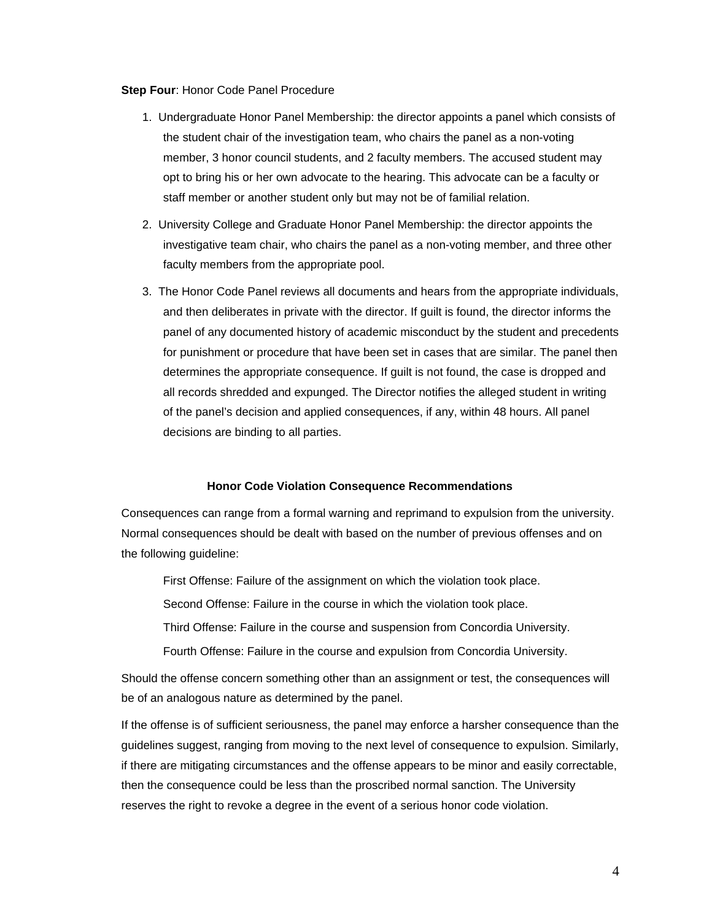#### **Step Four**: Honor Code Panel Procedure

- 1. Undergraduate Honor Panel Membership: the director appoints a panel which consists of the student chair of the investigation team, who chairs the panel as a non-voting member, 3 honor council students, and 2 faculty members. The accused student may opt to bring his or her own advocate to the hearing. This advocate can be a faculty or staff member or another student only but may not be of familial relation.
- 2. University College and Graduate Honor Panel Membership: the director appoints the investigative team chair, who chairs the panel as a non-voting member, and three other faculty members from the appropriate pool.
- 3. The Honor Code Panel reviews all documents and hears from the appropriate individuals, and then deliberates in private with the director. If guilt is found, the director informs the panel of any documented history of academic misconduct by the student and precedents for punishment or procedure that have been set in cases that are similar. The panel then determines the appropriate consequence. If guilt is not found, the case is dropped and all records shredded and expunged. The Director notifies the alleged student in writing of the panel's decision and applied consequences, if any, within 48 hours. All panel decisions are binding to all parties.

#### **Honor Code Violation Consequence Recommendations**

Consequences can range from a formal warning and reprimand to expulsion from the university. Normal consequences should be dealt with based on the number of previous offenses and on the following guideline:

First Offense: Failure of the assignment on which the violation took place.

Second Offense: Failure in the course in which the violation took place.

Third Offense: Failure in the course and suspension from Concordia University.

Fourth Offense: Failure in the course and expulsion from Concordia University.

Should the offense concern something other than an assignment or test, the consequences will be of an analogous nature as determined by the panel.

If the offense is of sufficient seriousness, the panel may enforce a harsher consequence than the guidelines suggest, ranging from moving to the next level of consequence to expulsion. Similarly, if there are mitigating circumstances and the offense appears to be minor and easily correctable, then the consequence could be less than the proscribed normal sanction. The University reserves the right to revoke a degree in the event of a serious honor code violation.